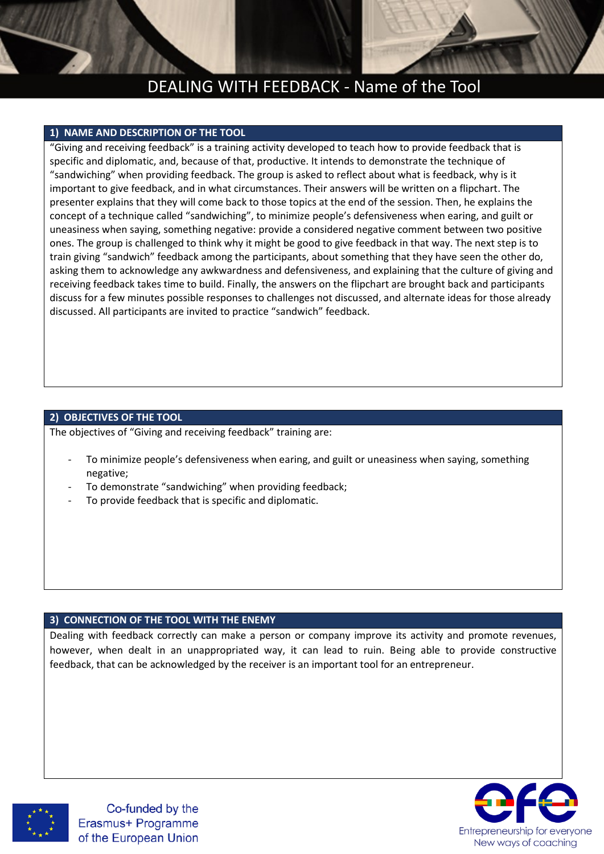# DEALING WITH FEEDBACK - Name of the Tool

### **1) NAME AND DESCRIPTION OF THE TOOL**

"Giving and receiving feedback" is a training activity developed to teach how to provide feedback that is specific and diplomatic, and, because of that, productive. It intends to demonstrate the technique of "sandwiching" when providing feedback. The group is asked to reflect about what is feedback, why is it important to give feedback, and in what circumstances. Their answers will be written on a flipchart. The presenter explains that they will come back to those topics at the end of the session. Then, he explains the concept of a technique called "sandwiching", to minimize people's defensiveness when earing, and guilt or uneasiness when saying, something negative: provide a considered negative comment between two positive ones. The group is challenged to think why it might be good to give feedback in that way. The next step is to train giving "sandwich" feedback among the participants, about something that they have seen the other do, asking them to acknowledge any awkwardness and defensiveness, and explaining that the culture of giving and receiving feedback takes time to build. Finally, the answers on the flipchart are brought back and participants discuss for a few minutes possible responses to challenges not discussed, and alternate ideas for those already discussed. All participants are invited to practice "sandwich" feedback.

## **2) OBJECTIVES OF THE TOOL**

The objectives of "Giving and receiving feedback" training are:

- To minimize people's defensiveness when earing, and guilt or uneasiness when saying, something negative;
- To demonstrate "sandwiching" when providing feedback;
- To provide feedback that is specific and diplomatic.

#### **3) CONNECTION OF THE TOOL WITH THE ENEMY**

Dealing with feedback correctly can make a person or company improve its activity and promote revenues, however, when dealt in an unappropriated way, it can lead to ruin. Being able to provide constructive feedback, that can be acknowledged by the receiver is an important tool for an entrepreneur.



Co-funded by the Erasmus+ Programme of the European Union

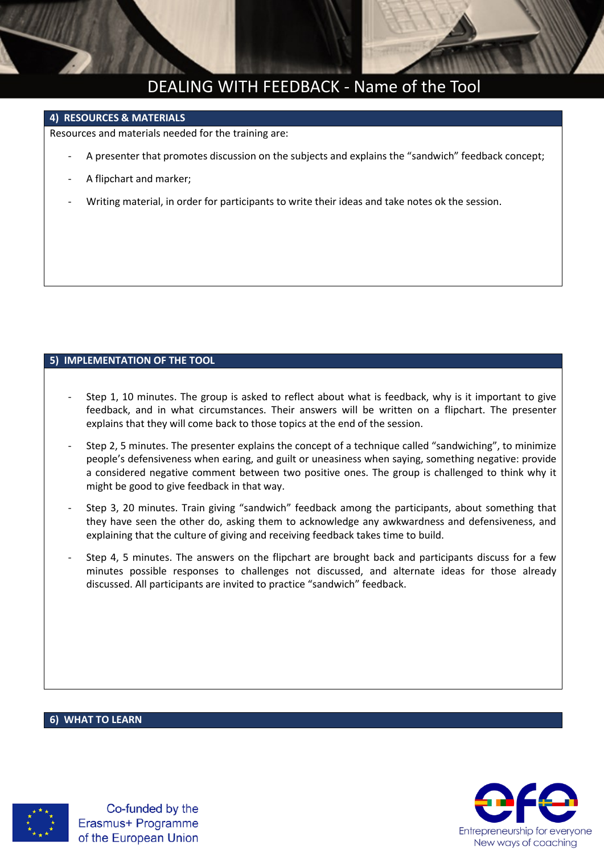

# DEALING WITH FEEDBACK - Name of the Tool

### **4) RESOURCES & MATERIALS**

Resources and materials needed for the training are:

- A presenter that promotes discussion on the subjects and explains the "sandwich" feedback concept;
- A flipchart and marker;
- Writing material, in order for participants to write their ideas and take notes ok the session.

## **5) IMPLEMENTATION OF THE TOOL**

- Step 1, 10 minutes. The group is asked to reflect about what is feedback, why is it important to give feedback, and in what circumstances. Their answers will be written on a flipchart. The presenter explains that they will come back to those topics at the end of the session.
- Step 2, 5 minutes. The presenter explains the concept of a technique called "sandwiching", to minimize people's defensiveness when earing, and guilt or uneasiness when saying, something negative: provide a considered negative comment between two positive ones. The group is challenged to think why it might be good to give feedback in that way.
- Step 3, 20 minutes. Train giving "sandwich" feedback among the participants, about something that they have seen the other do, asking them to acknowledge any awkwardness and defensiveness, and explaining that the culture of giving and receiving feedback takes time to build.
- Step 4, 5 minutes. The answers on the flipchart are brought back and participants discuss for a few minutes possible responses to challenges not discussed, and alternate ideas for those already discussed. All participants are invited to practice "sandwich" feedback.

### **6) WHAT TO LEARN**



Co-funded by the Erasmus+ Programme of the European Union